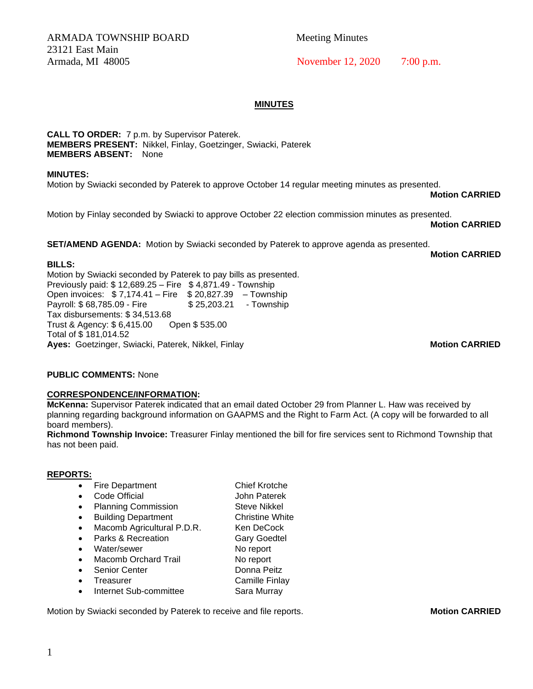ARMADA TOWNSHIP BOARD Meeting Minutes 23121 East Main

# Armada, MI 48005 November 12, 2020 7:00 p.m.

## **MINUTES**

**CALL TO ORDER:** 7 p.m. by Supervisor Paterek. **MEMBERS PRESENT:** Nikkel, Finlay, Goetzinger, Swiacki, Paterek **MEMBERS ABSENT:** None

**MINUTES:** 

Motion by Swiacki seconded by Paterek to approve October 14 regular meeting minutes as presented.

**Motion CARRIED**

Motion by Finlay seconded by Swiacki to approve October 22 election commission minutes as presented.

**Motion CARRIED**

**SET/AMEND AGENDA:** Motion by Swiacki seconded by Paterek to approve agenda as presented.

**Motion CARRIED**

**BILLS:**  Motion by Swiacki seconded by Paterek to pay bills as presented. Previously paid: \$ 12,689.25 – Fire \$ 4,871.49 - Township Open invoices: \$ 7,174.41 – Fire \$ 20,827.39 – Township Payroll: \$68,785.09 - Fire \$ 25,203.21 - Township Tax disbursements: \$ 34,513.68 Trust & Agency: \$ 6,415.00 Open \$ 535.00 Total of \$ 181,014.52 Ayes: Goetzinger, Swiacki, Paterek, Nikkel, Finlay **Motion CARRIED Motion CARRIED** 

# **PUBLIC COMMENTS:** None

## **CORRESPONDENCE/INFORMATION:**

**McKenna:** Supervisor Paterek indicated that an email dated October 29 from Planner L. Haw was received by planning regarding background information on GAAPMS and the Right to Farm Act. (A copy will be forwarded to all board members).

**Richmond Township Invoice:** Treasurer Finlay mentioned the bill for fire services sent to Richmond Township that has not been paid.

## **REPORTS:**

|           | <b>Fire Department</b>      | <b>Chief Krotche</b>   |
|-----------|-----------------------------|------------------------|
|           | Code Official               | John Paterek           |
|           | <b>Planning Commission</b>  | <b>Steve Nikkel</b>    |
| $\bullet$ | <b>Building Department</b>  | <b>Christine White</b> |
| $\bullet$ | Macomb Agricultural P.D.R.  | Ken DeCock             |
|           | Parks & Recreation          | <b>Gary Goedtel</b>    |
|           | Water/sewer                 | No report              |
|           | <b>Macomb Orchard Trail</b> | No report              |
|           | <b>Senior Center</b>        | Donna Peitz            |
|           | Treasurer                   | Camille Finlay         |
|           | Internet Sub-committee      | Sara Murray            |

Motion by Swiacki seconded by Paterek to receive and file reports. **Motion CARRIED**